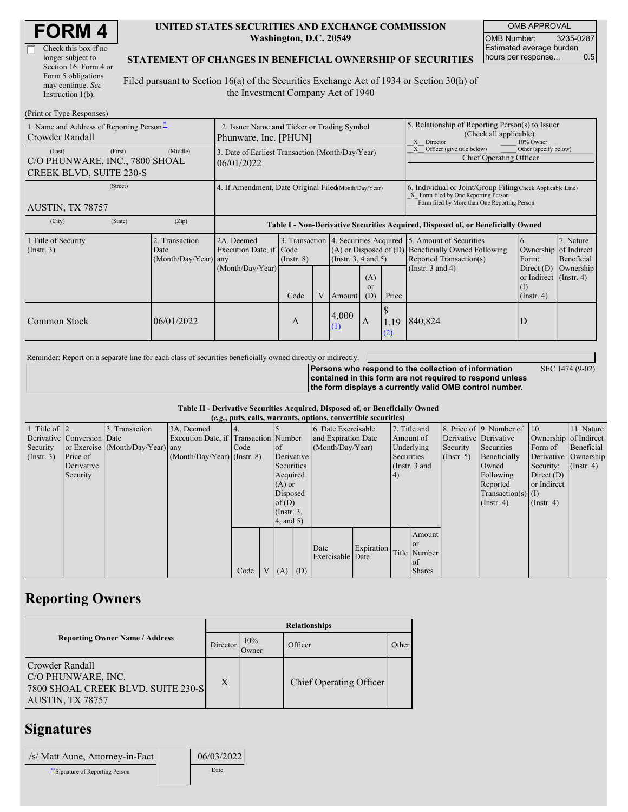| <b>FORM4</b> |
|--------------|
|--------------|

| Check this box if no  |
|-----------------------|
| longer subject to     |
| Section 16. Form 4 or |
| Form 5 obligations    |
| may continue. See     |
| Instruction 1(b).     |

#### **UNITED STATES SECURITIES AND EXCHANGE COMMISSION Washington, D.C. 20549**

OMB APPROVAL OMB Number: 3235-0287 Estimated average burden hours per response... 0.5

#### **STATEMENT OF CHANGES IN BENEFICIAL OWNERSHIP OF SECURITIES**

Filed pursuant to Section 16(a) of the Securities Exchange Act of 1934 or Section 30(h) of the Investment Company Act of 1940

| (Print or Type Responses)                                                             |                                                                                                                                                                                                              |                  |      |                                                                                                                                                                 |              |                        |                                                                                                                                                    |                                                                                  |                                                                               |           |  |
|---------------------------------------------------------------------------------------|--------------------------------------------------------------------------------------------------------------------------------------------------------------------------------------------------------------|------------------|------|-----------------------------------------------------------------------------------------------------------------------------------------------------------------|--------------|------------------------|----------------------------------------------------------------------------------------------------------------------------------------------------|----------------------------------------------------------------------------------|-------------------------------------------------------------------------------|-----------|--|
| 1. Name and Address of Reporting Person-<br>Crowder Randall                           | 2. Issuer Name and Ticker or Trading Symbol<br>Phunware, Inc. [PHUN]                                                                                                                                         |                  |      |                                                                                                                                                                 |              |                        | 5. Relationship of Reporting Person(s) to Issuer<br>(Check all applicable)<br>X<br>Director<br>10% Owner                                           |                                                                                  |                                                                               |           |  |
| (First)<br>(Last)<br>C/O PHUNWARE, INC., 7800 SHOAL<br><b>CREEK BLVD, SUITE 230-S</b> | 3. Date of Earliest Transaction (Month/Day/Year)<br>06/01/2022                                                                                                                                               |                  |      |                                                                                                                                                                 |              |                        | Officer (give title below)<br>Other (specify below)<br>Chief Operating Officer                                                                     |                                                                                  |                                                                               |           |  |
| (Street)<br>AUSTIN, TX 78757                                                          | 4. If Amendment, Date Original Filed(Month/Day/Year)                                                                                                                                                         |                  |      |                                                                                                                                                                 |              |                        | 6. Individual or Joint/Group Filing Check Applicable Line)<br>X Form filed by One Reporting Person<br>Form filed by More than One Reporting Person |                                                                                  |                                                                               |           |  |
| (City)<br>(State)                                                                     | (Zip)                                                                                                                                                                                                        |                  |      |                                                                                                                                                                 |              |                        |                                                                                                                                                    | Table I - Non-Derivative Securities Acquired, Disposed of, or Beneficially Owned |                                                                               |           |  |
| 1. Title of Security<br>(Insert. 3)                                                   | 2. Transaction<br>3. Transaction<br>4. Securities Acquired<br>2A. Deemed<br>Execution Date, if Code<br>$(A)$ or Disposed of $(D)$<br>Date<br>(Month/Day/Year) any<br>(Insert. 3, 4 and 5)<br>$($ Instr. $8)$ |                  |      | 5. Amount of Securities<br>7. Nature<br>6.<br>of Indirect<br><b>Beneficially Owned Following</b><br>Ownership<br>Reported Transaction(s)<br>Beneficial<br>Form: |              |                        |                                                                                                                                                    |                                                                                  |                                                                               |           |  |
|                                                                                       |                                                                                                                                                                                                              | (Month/Day/Year) | Code |                                                                                                                                                                 | Amount       | (A)<br>$\alpha$<br>(D) | Price                                                                                                                                              | (Instr. $3$ and $4$ )                                                            | Direct $(D)$<br>or Indirect $($ Instr. 4 $)$<br>$\rm (1)$<br>$($ Instr. 4 $)$ | Ownership |  |
| Common Stock                                                                          | 06/01/2022                                                                                                                                                                                                   |                  | A    |                                                                                                                                                                 | 4,000<br>(1) | A                      | 1.19<br>(2)                                                                                                                                        | 840,824                                                                          | D                                                                             |           |  |

Reminder: Report on a separate line for each class of securities beneficially owned directly or indirectly.

**Persons who respond to the collection of information contained in this form are not required to respond unless the form displays a currently valid OMB control number.** SEC 1474 (9-02)

**Table II - Derivative Securities Acquired, Disposed of, or Beneficially Owned (***e.g.***, puts, calls, warrants, options, convertible securities)**

|                        | $(c, \zeta, \mu, \zeta)$ cans, warrants, options, convertible securities) |                                  |                                       |      |  |                 |            |                     |            |    |               |            |                              |                       |               |                       |            |                      |            |
|------------------------|---------------------------------------------------------------------------|----------------------------------|---------------------------------------|------|--|-----------------|------------|---------------------|------------|----|---------------|------------|------------------------------|-----------------------|---------------|-----------------------|------------|----------------------|------------|
| 1. Title of $\vert$ 2. |                                                                           | 3. Transaction                   | 3A. Deemed                            |      |  |                 |            | 6. Date Exercisable |            |    | 7. Title and  |            | 8. Price of 9. Number of 10. |                       | 11. Nature    |                       |            |                      |            |
|                        | Derivative Conversion Date                                                |                                  | Execution Date, if Transaction Number |      |  |                 |            | and Expiration Date |            |    |               | Amount of  |                              | Derivative Derivative |               | Ownership of Indirect |            |                      |            |
| Security               |                                                                           | or Exercise (Month/Day/Year) any |                                       | Code |  | of              |            | (Month/Day/Year)    |            |    |               |            |                              |                       | Underlying    | Security              | Securities | Form of              | Beneficial |
| (Insert. 3)            | Price of                                                                  |                                  | $(Month/Day/Year)$ (Instr. 8)         |      |  |                 | Derivative |                     |            |    |               | Securities |                              |                       | $($ Instr. 5) | Beneficially          |            | Derivative Ownership |            |
|                        | Derivative                                                                |                                  |                                       |      |  | Securities      |            |                     |            |    | (Instr. 3 and |            | Owned                        | Security:             | $($ Instr. 4) |                       |            |                      |            |
|                        | Security                                                                  |                                  |                                       |      |  | Acquired        |            |                     |            | 4) |               |            | Following                    | Direct $(D)$          |               |                       |            |                      |            |
|                        |                                                                           |                                  |                                       |      |  | $(A)$ or        |            |                     |            |    |               |            | Reported                     | or Indirect           |               |                       |            |                      |            |
|                        |                                                                           |                                  |                                       |      |  | Disposed        |            |                     |            |    |               |            | $Transaction(s)$ (I)         |                       |               |                       |            |                      |            |
|                        |                                                                           |                                  |                                       |      |  | of(D)           |            |                     |            |    |               |            | $($ Instr. 4)                | $($ Instr. 4 $)$      |               |                       |            |                      |            |
|                        |                                                                           |                                  |                                       |      |  | $($ Instr. 3,   |            |                     |            |    |               |            |                              |                       |               |                       |            |                      |            |
|                        |                                                                           |                                  |                                       |      |  | $4$ , and $5$ ) |            |                     |            |    |               |            |                              |                       |               |                       |            |                      |            |
|                        |                                                                           |                                  |                                       |      |  |                 |            |                     |            |    | Amount        |            |                              |                       |               |                       |            |                      |            |
|                        |                                                                           |                                  |                                       |      |  |                 |            | Date                | Expiration |    | <sub>or</sub> |            |                              |                       |               |                       |            |                      |            |
|                        |                                                                           |                                  |                                       |      |  |                 |            | Exercisable Date    |            |    | Title Number  |            |                              |                       |               |                       |            |                      |            |
|                        |                                                                           |                                  |                                       |      |  |                 |            |                     |            |    | $\alpha$ f    |            |                              |                       |               |                       |            |                      |            |
|                        |                                                                           |                                  |                                       | Code |  | V(A)            | (D)        |                     |            |    | <b>Shares</b> |            |                              |                       |               |                       |            |                      |            |

## **Reporting Owners**

|                                                                                                 | <b>Relationships</b> |                      |                         |       |  |  |  |  |
|-------------------------------------------------------------------------------------------------|----------------------|----------------------|-------------------------|-------|--|--|--|--|
| <b>Reporting Owner Name / Address</b>                                                           | Director             | 10%<br><b>J</b> wner | Officer                 | Other |  |  |  |  |
| Crowder Randall<br>C/O PHUNWARE, INC.<br>7800 SHOAL CREEK BLVD, SUITE 230-S<br>AUSTIN, TX 78757 | $\boldsymbol{X}$     |                      | Chief Operating Officer |       |  |  |  |  |

## **Signatures**

| /s/ Matt Aune, Attorney-in-Fact | 06/03/2022 |
|---------------------------------|------------|
| Signature of Reporting Person   | Date       |